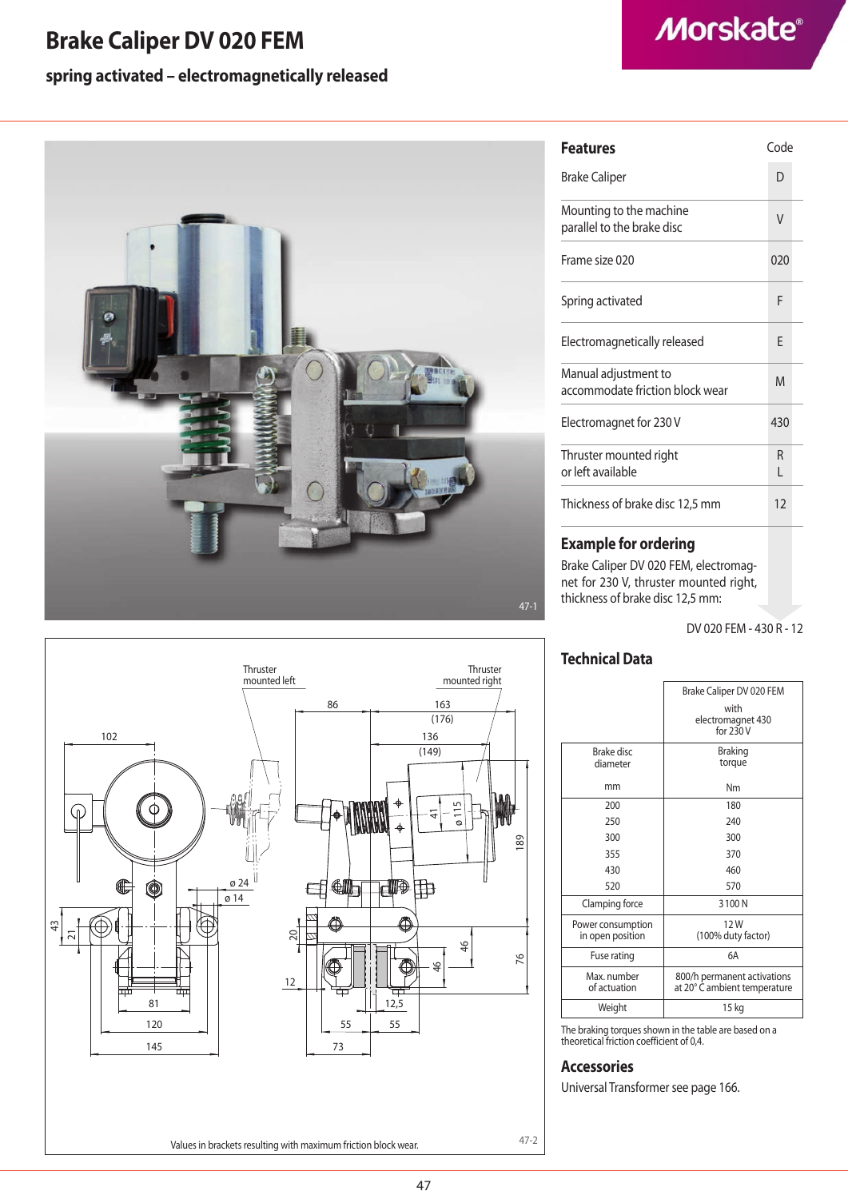## **Brake Caliper DV 020 FEM**

## **spring activated – electromagnetically released**





| <b>Features</b>                                         | Code   |  |
|---------------------------------------------------------|--------|--|
| <b>Brake Caliper</b>                                    | D      |  |
| Mounting to the machine<br>parallel to the brake disc   | V      |  |
| Frame size 020                                          | 020    |  |
| Spring activated                                        | F      |  |
| Electromagnetically released                            | F      |  |
| Manual adjustment to<br>accommodate friction block wear | M      |  |
| Electromagnet for 230 V                                 | 430    |  |
| Thruster mounted right<br>or left available             | R<br>L |  |
| Thickness of brake disc 12,5 mm                         | 12     |  |

### **Example for ordering**

Brake Caliper DV 020 FEM, electromagnet for 230 V, thruster mounted right, thickness of brake disc 12,5 mm:

DV 020 FEM - 430 R - 12

### **Technical Data**

|                                       | Brake Caliper DV 020 FEM                                    |  |
|---------------------------------------|-------------------------------------------------------------|--|
|                                       | with<br>electromagnet 430<br>for 230 V                      |  |
| Brake disc<br>diameter                | Braking<br>torque                                           |  |
| mm                                    | Nm                                                          |  |
| 200                                   | 180                                                         |  |
| 250                                   | 240                                                         |  |
| 300                                   | 300                                                         |  |
| 355                                   | 370                                                         |  |
| 430                                   | 460                                                         |  |
| 520                                   | 570                                                         |  |
| Clamping force                        | 3100N                                                       |  |
| Power consumption<br>in open position | 12W<br>(100% duty factor)                                   |  |
| Fuse rating                           | 6A                                                          |  |
| Max. number<br>of actuation           | 800/h permanent activations<br>at 20° C ambient temperature |  |
| Weight                                | 15 kg                                                       |  |

The braking torques shown in the table are based on a theoretical friction coefficient of 0,4.

### **Accessories**

Universal Transformer see page 166.

# **Morskate®**